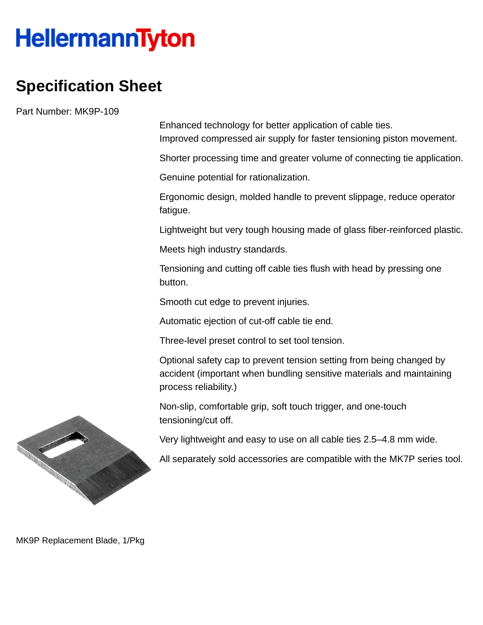## **HellermannTyton**

## **Specification Sheet**

Part Number: MK9P-109

Enhanced technology for better application of cable ties. Improved compressed air supply for faster tensioning piston movement.

Shorter processing time and greater volume of connecting tie application.

Genuine potential for rationalization.

Ergonomic design, molded handle to prevent slippage, reduce operator fatigue.

Lightweight but very tough housing made of glass fiber-reinforced plastic.

Meets high industry standards.

Tensioning and cutting off cable ties flush with head by pressing one button.

Smooth cut edge to prevent injuries.

Automatic ejection of cut-off cable tie end.

Three-level preset control to set tool tension.

Optional safety cap to prevent tension setting from being changed by accident (important when bundling sensitive materials and maintaining process reliability.)

Non-slip, comfortable grip, soft touch trigger, and one-touch tensioning/cut off.

Very lightweight and easy to use on all cable ties 2.5–4.8 mm wide.

All separately sold accessories are compatible with the MK7P series tool.



MK9P Replacement Blade, 1/Pkg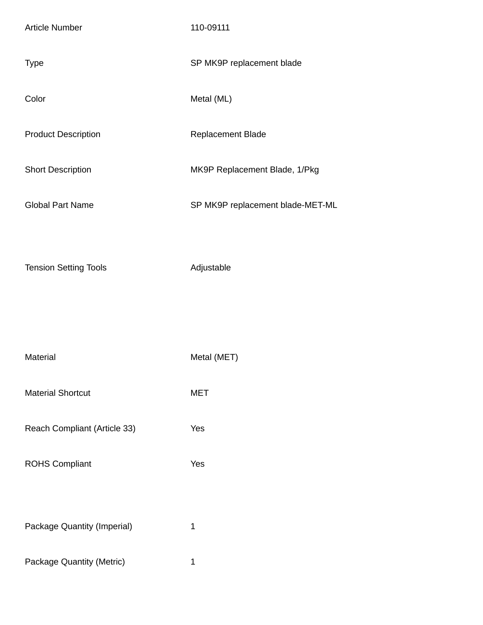| <b>Article Number</b>        | 110-09111                        |
|------------------------------|----------------------------------|
| <b>Type</b>                  | SP MK9P replacement blade        |
| Color                        | Metal (ML)                       |
| <b>Product Description</b>   | Replacement Blade                |
| <b>Short Description</b>     | MK9P Replacement Blade, 1/Pkg    |
| <b>Global Part Name</b>      | SP MK9P replacement blade-MET-ML |
| <b>Tension Setting Tools</b> | Adjustable                       |
|                              |                                  |

| Material                     | Metal (MET) |
|------------------------------|-------------|
| <b>Material Shortcut</b>     | MET         |
| Reach Compliant (Article 33) | Yes         |
| <b>ROHS Compliant</b>        | Yes         |

| Package Quantity (Imperial) |  |
|-----------------------------|--|
|-----------------------------|--|

Package Quantity (Metric) 1